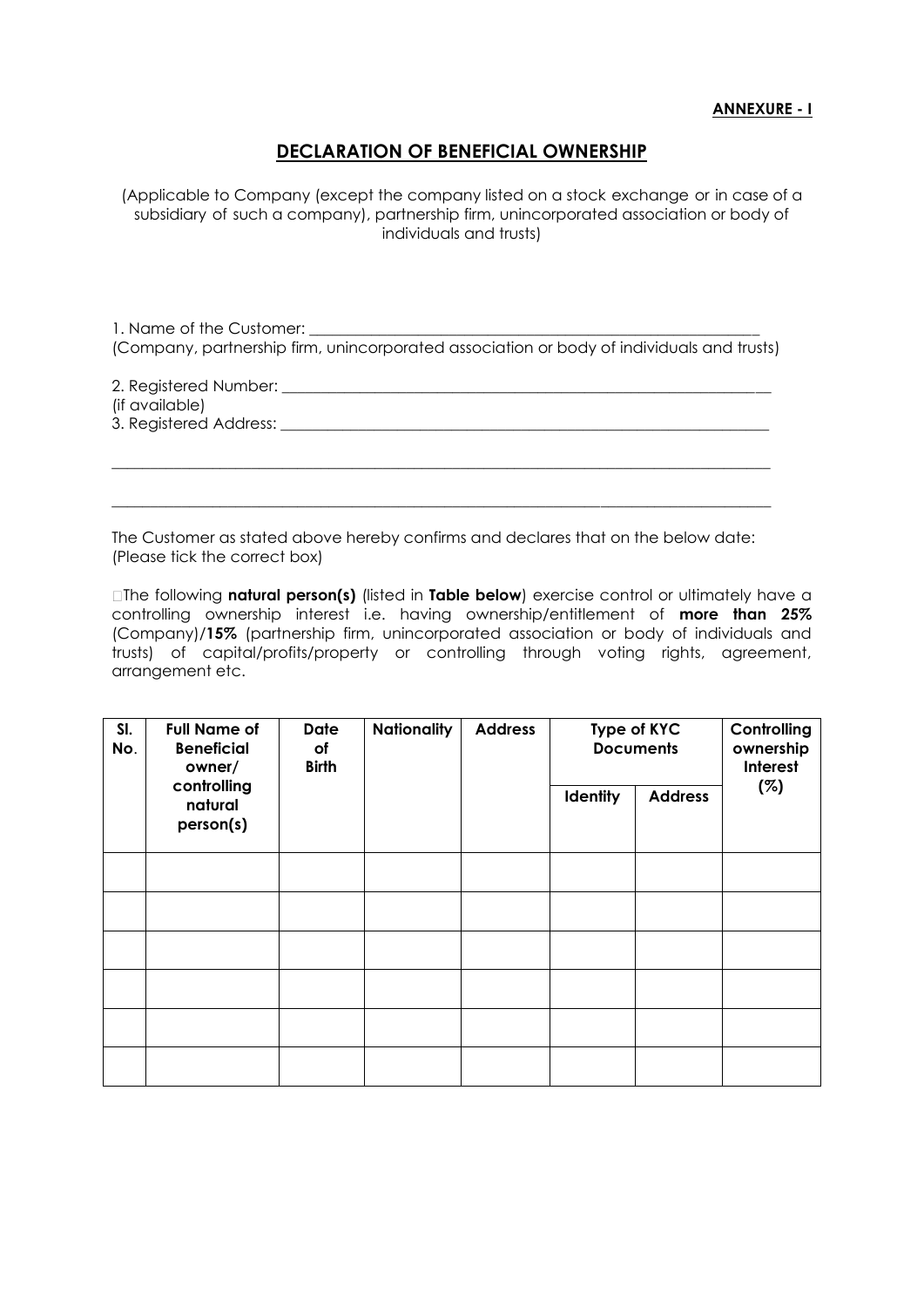## **ANNEXURE - I**

## **DECLARATION OF BENEFICIAL OWNERSHIP**

(Applicable to Company (except the company listed on a stock exchange or in case of a subsidiary of such a company), partnership firm, unincorporated association or body of individuals and trusts)

1. Name of the Customer:

(Company, partnership firm, unincorporated association or body of individuals and trusts)

2. Registered Number: \_\_\_\_\_\_\_\_\_\_\_\_\_\_\_\_\_\_\_\_\_\_\_\_\_\_\_\_\_\_\_\_\_\_\_\_\_\_\_\_\_\_\_\_\_\_\_\_\_\_\_\_\_\_\_\_\_\_\_\_\_\_\_

(if available)

3. Registered Address: \_\_\_\_\_\_\_\_\_\_\_\_\_\_\_\_\_\_\_\_\_\_\_\_\_\_\_\_\_\_\_\_\_\_\_\_\_\_\_\_\_\_\_\_\_\_\_\_\_\_\_\_\_\_\_\_\_\_\_\_\_\_\_

The Customer as stated above hereby confirms and declares that on the below date: (Please tick the correct box)

 $\_$  , and the set of the set of the set of the set of the set of the set of the set of the set of the set of the set of the set of the set of the set of the set of the set of the set of the set of the set of the set of th

 $\_$  , and the set of the set of the set of the set of the set of the set of the set of the set of the set of the set of the set of the set of the set of the set of the set of the set of the set of the set of the set of th

The following **natural person(s)** (listed in **Table below**) exercise control or ultimately have a controlling ownership interest i.e. having ownership/entitlement of **more than 25%** (Company)/**15%** (partnership firm, unincorporated association or body of individuals and trusts) of capital/profits/property or controlling through voting rights, agreement, arrangement etc.

| SI.<br>No. | <b>Full Name of</b><br><b>Beneficial</b><br>owner/<br>controlling<br>natural<br>person(s) | <b>Date</b><br>оf<br><b>Birth</b> | <b>Nationality</b> | <b>Address</b> | <b>Type of KYC</b><br><b>Documents</b> |                | Controlling<br>ownership<br>Interest |
|------------|-------------------------------------------------------------------------------------------|-----------------------------------|--------------------|----------------|----------------------------------------|----------------|--------------------------------------|
|            |                                                                                           |                                   |                    |                | <b>Identity</b>                        | <b>Address</b> | (%)                                  |
|            |                                                                                           |                                   |                    |                |                                        |                |                                      |
|            |                                                                                           |                                   |                    |                |                                        |                |                                      |
|            |                                                                                           |                                   |                    |                |                                        |                |                                      |
|            |                                                                                           |                                   |                    |                |                                        |                |                                      |
|            |                                                                                           |                                   |                    |                |                                        |                |                                      |
|            |                                                                                           |                                   |                    |                |                                        |                |                                      |